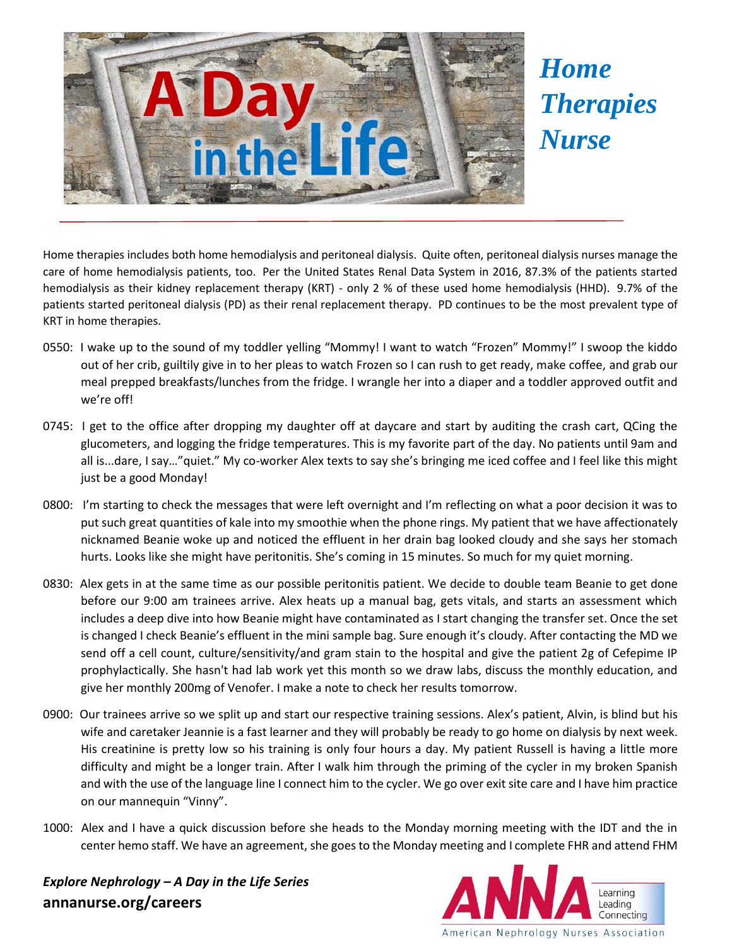

## *Home Therapies Nurse*

Home therapies includes both home hemodialysis and peritoneal dialysis. Quite often, peritoneal dialysis nurses manage the care of home hemodialysis patients, too. Per the United States Renal Data System in 2016, 87.3% of the patients started hemodialysis as their kidney replacement therapy (KRT) - only 2 % of these used home hemodialysis (HHD). 9.7% of the patients started peritoneal dialysis (PD) as their renal replacement therapy. PD continues to be the most prevalent type of KRT in home therapies.

- 0550: I wake up to the sound of my toddler yelling "Mommy! I want to watch "Frozen" Mommy!" I swoop the kiddo out of her crib, guiltily give in to her pleas to watch Frozen so I can rush to get ready, make coffee, and grab our meal prepped breakfasts/lunches from the fridge. I wrangle her into a diaper and a toddler approved outfit and we're off!
- 0745: I get to the office after dropping my daughter off at daycare and start by auditing the crash cart, QCing the glucometers, and logging the fridge temperatures. This is my favorite part of the day. No patients until 9am and all is...dare, I say…"quiet." My co-worker Alex texts to say she's bringing me iced coffee and I feel like this might just be a good Monday!
- 0800: I'm starting to check the messages that were left overnight and I'm reflecting on what a poor decision it was to put such great quantities of kale into my smoothie when the phone rings. My patient that we have affectionately nicknamed Beanie woke up and noticed the effluent in her drain bag looked cloudy and she says her stomach hurts. Looks like she might have peritonitis. She's coming in 15 minutes. So much for my quiet morning.
- 0830: Alex gets in at the same time as our possible peritonitis patient. We decide to double team Beanie to get done before our 9:00 am trainees arrive. Alex heats up a manual bag, gets vitals, and starts an assessment which includes a deep dive into how Beanie might have contaminated as I start changing the transfer set. Once the set is changed I check Beanie's effluent in the mini sample bag. Sure enough it's cloudy. After contacting the MD we send off a cell count, culture/sensitivity/and gram stain to the hospital and give the patient 2g of Cefepime IP prophylactically. She hasn't had lab work yet this month so we draw labs, discuss the monthly education, and give her monthly 200mg of Venofer. I make a note to check her results tomorrow.
- 0900: Our trainees arrive so we split up and start our respective training sessions. Alex's patient, Alvin, is blind but his wife and caretaker Jeannie is a fast learner and they will probably be ready to go home on dialysis by next week. His creatinine is pretty low so his training is only four hours a day. My patient Russell is having a little more difficulty and might be a longer train. After I walk him through the priming of the cycler in my broken Spanish and with the use of the language line I connect him to the cycler. We go over exit site care and I have him practice on our mannequin "Vinny".
- 1000: Alex and I have a quick discussion before she heads to the Monday morning meeting with the IDT and the in center hemo staff. We have an agreement, she goes to the Monday meeting and I complete FHR and attend FHM

*Explore Nephrology – A Day in the Life Series* **annanurse.org/careers**

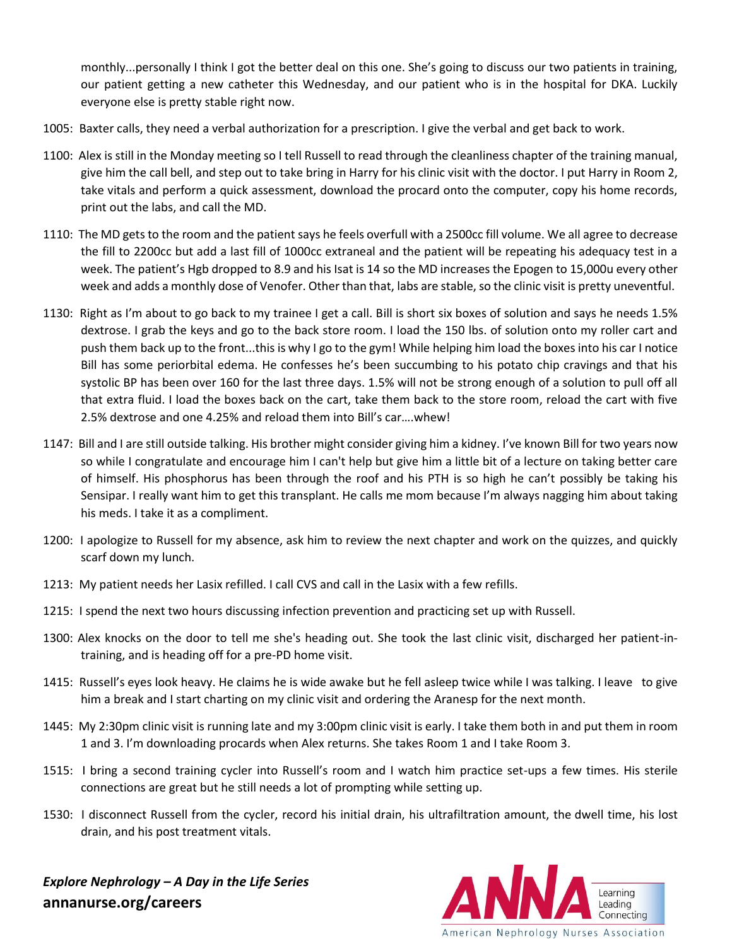monthly...personally I think I got the better deal on this one. She's going to discuss our two patients in training, our patient getting a new catheter this Wednesday, and our patient who is in the hospital for DKA. Luckily everyone else is pretty stable right now.

- 1005: Baxter calls, they need a verbal authorization for a prescription. I give the verbal and get back to work.
- 1100: Alex is still in the Monday meeting so I tell Russell to read through the cleanliness chapter of the training manual, give him the call bell, and step out to take bring in Harry for his clinic visit with the doctor. I put Harry in Room 2, take vitals and perform a quick assessment, download the procard onto the computer, copy his home records, print out the labs, and call the MD.
- 1110: The MD gets to the room and the patient says he feels overfull with a 2500cc fill volume. We all agree to decrease the fill to 2200cc but add a last fill of 1000cc extraneal and the patient will be repeating his adequacy test in a week. The patient's Hgb dropped to 8.9 and his Isat is 14 so the MD increases the Epogen to 15,000u every other week and adds a monthly dose of Venofer. Other than that, labs are stable, so the clinic visit is pretty uneventful.
- 1130: Right as I'm about to go back to my trainee I get a call. Bill is short six boxes of solution and says he needs 1.5% dextrose. I grab the keys and go to the back store room. I load the 150 lbs. of solution onto my roller cart and push them back up to the front...this is why I go to the gym! While helping him load the boxes into his car I notice Bill has some periorbital edema. He confesses he's been succumbing to his potato chip cravings and that his systolic BP has been over 160 for the last three days. 1.5% will not be strong enough of a solution to pull off all that extra fluid. I load the boxes back on the cart, take them back to the store room, reload the cart with five 2.5% dextrose and one 4.25% and reload them into Bill's car….whew!
- 1147: Bill and I are still outside talking. His brother might consider giving him a kidney. I've known Bill for two years now so while I congratulate and encourage him I can't help but give him a little bit of a lecture on taking better care of himself. His phosphorus has been through the roof and his PTH is so high he can't possibly be taking his Sensipar. I really want him to get this transplant. He calls me mom because I'm always nagging him about taking his meds. I take it as a compliment.
- 1200: I apologize to Russell for my absence, ask him to review the next chapter and work on the quizzes, and quickly scarf down my lunch.
- 1213: My patient needs her Lasix refilled. I call CVS and call in the Lasix with a few refills.
- 1215: I spend the next two hours discussing infection prevention and practicing set up with Russell.
- 1300: Alex knocks on the door to tell me she's heading out. She took the last clinic visit, discharged her patient-intraining, and is heading off for a pre-PD home visit.
- 1415: Russell's eyes look heavy. He claims he is wide awake but he fell asleep twice while I was talking. I leave to give him a break and I start charting on my clinic visit and ordering the Aranesp for the next month.
- 1445: My 2:30pm clinic visit is running late and my 3:00pm clinic visit is early. I take them both in and put them in room 1 and 3. I'm downloading procards when Alex returns. She takes Room 1 and I take Room 3.
- 1515: I bring a second training cycler into Russell's room and I watch him practice set-ups a few times. His sterile connections are great but he still needs a lot of prompting while setting up.
- 1530: I disconnect Russell from the cycler, record his initial drain, his ultrafiltration amount, the dwell time, his lost drain, and his post treatment vitals.

*Explore Nephrology – A Day in the Life Series* **annanurse.org/careers**